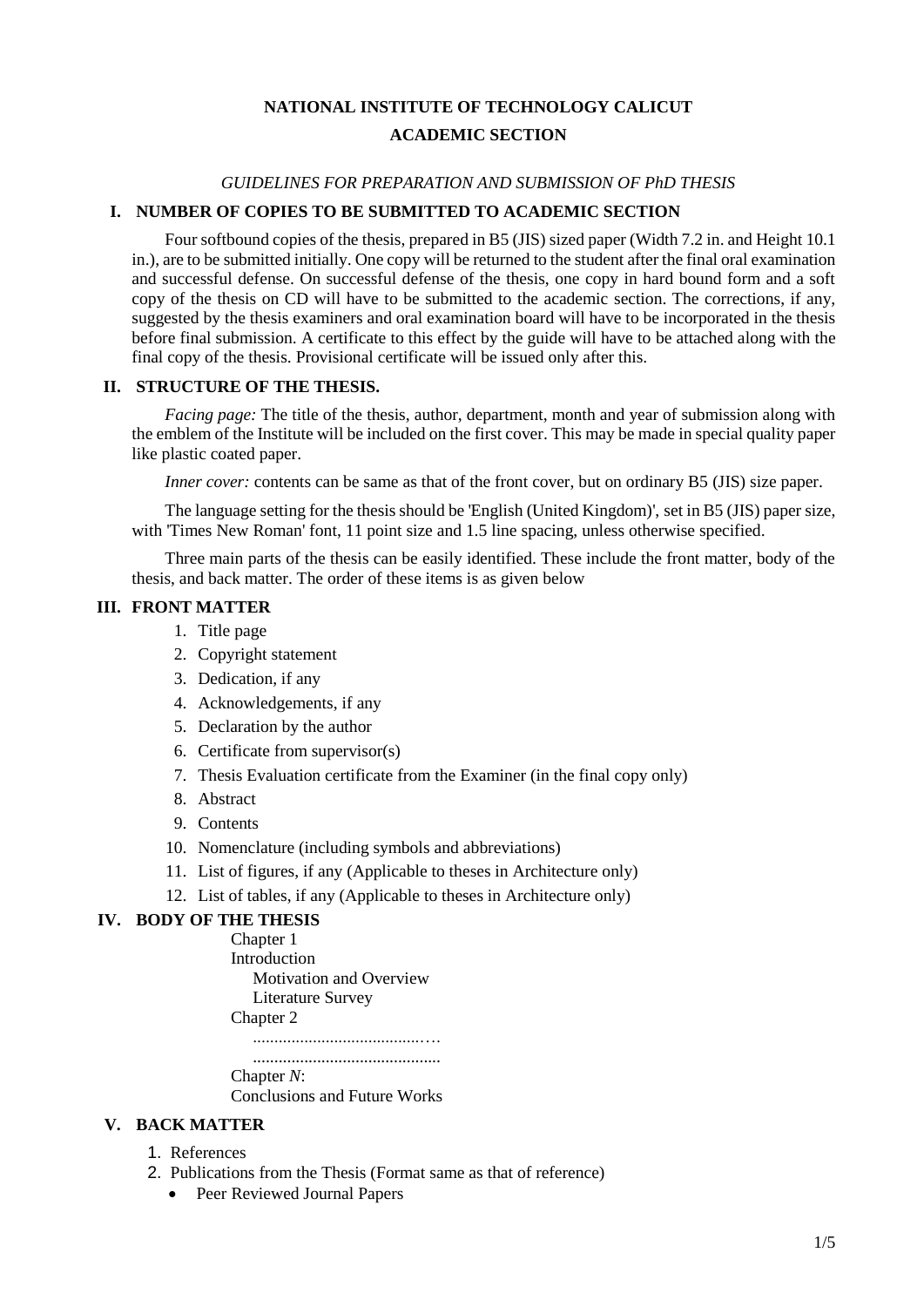# **NATIONAL INSTITUTE OF TECHNOLOGY CALICUT ACADEMIC SECTION**

#### *GUIDELINES FOR PREPARATION AND SUBMISSION OF PhD THESIS*

## **I. NUMBER OF COPIES TO BE SUBMITTED TO ACADEMIC SECTION**

Four softbound copies of the thesis, prepared in B5 (JIS) sized paper (Width 7.2 in. and Height 10.1 in.), are to be submitted initially. One copy will be returned to the student after the final oral examination and successful defense. On successful defense of the thesis, one copy in hard bound form and a soft copy of the thesis on CD will have to be submitted to the academic section. The corrections, if any, suggested by the thesis examiners and oral examination board will have to be incorporated in the thesis before final submission. A certificate to this effect by the guide will have to be attached along with the final copy of the thesis. Provisional certificate will be issued only after this.

#### **II. STRUCTURE OF THE THESIS.**

*Facing page:* The title of the thesis, author, department, month and year of submission along with the emblem of the Institute will be included on the first cover. This may be made in special quality paper like plastic coated paper.

*Inner cover:* contents can be same as that of the front cover, but on ordinary B5 (JIS) size paper.

The language setting for the thesis should be 'English (United Kingdom)', set in B5 (JIS) paper size, with 'Times New Roman' font, 11 point size and 1.5 line spacing, unless otherwise specified.

Three main parts of the thesis can be easily identified. These include the front matter, body of the thesis, and back matter. The order of these items is as given below

## **III. FRONT MATTER**

- 1. Title page
- 2. Copyright statement
- 3. Dedication, if any
- 4. Acknowledgements, if any
- 5. Declaration by the author
- 6. Certificate from supervisor(s)
- 7. Thesis Evaluation certificate from the Examiner (in the final copy only)
- 8. Abstract
- 9. Contents
- 10. Nomenclature (including symbols and abbreviations)
- 11. List of figures, if any (Applicable to theses in Architecture only)
- 12. List of tables, if any (Applicable to theses in Architecture only)

#### **IV. BODY OF THE THESIS**

Chapter 1 Introduction Motivation and Overview Literature Survey Chapter 2 .......................................…. ............................................ Chapter *N*:

Conclusions and Future Works

#### **V. BACK MATTER**

- 1. References
- 2. Publications from the Thesis (Format same as that of reference)
	- Peer Reviewed Journal Papers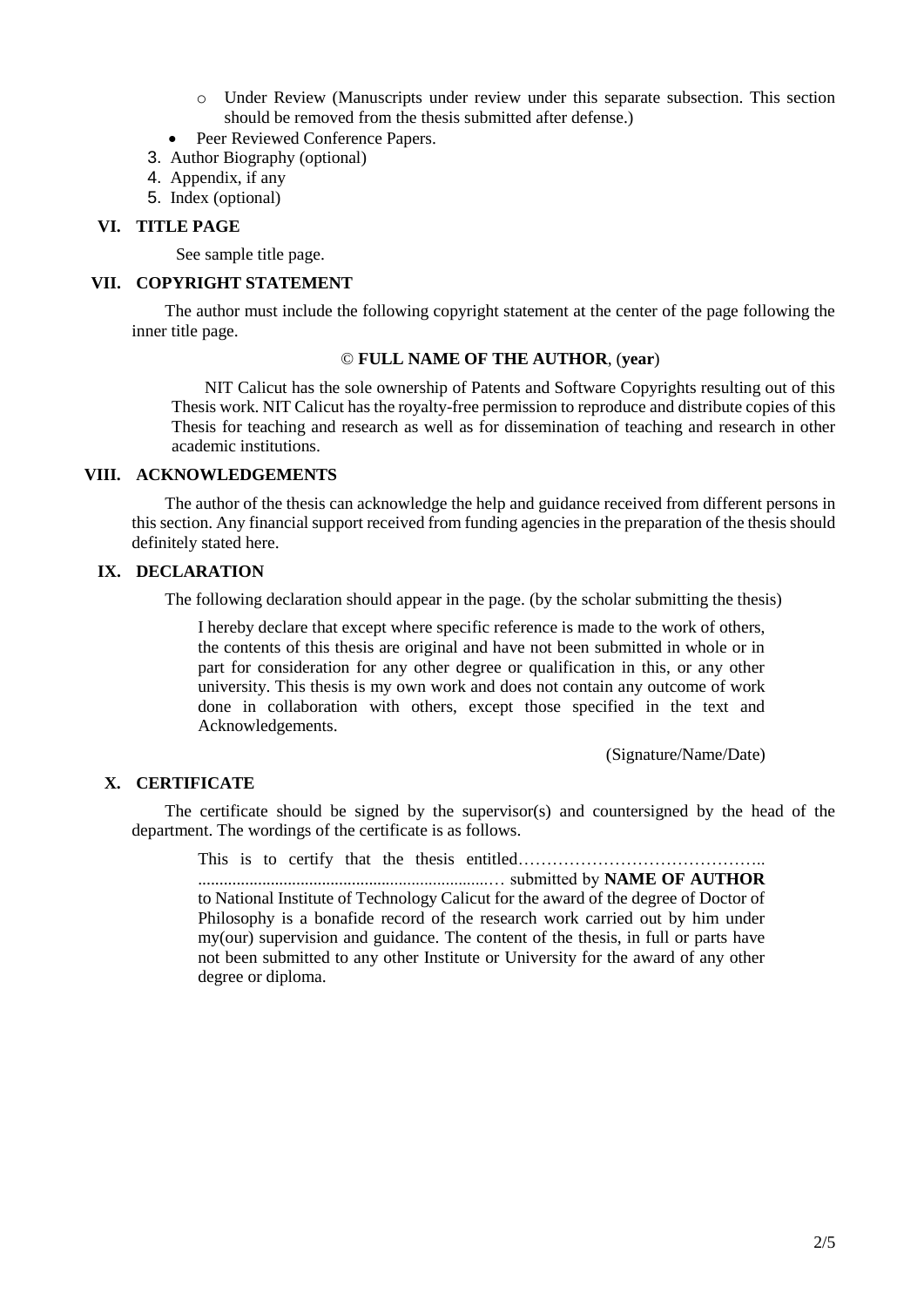- o Under Review (Manuscripts under review under this separate subsection. This section should be removed from the thesis submitted after defense.)
- Peer Reviewed Conference Papers.
- 3. Author Biography (optional)
- 4. Appendix, if any
- 5. Index (optional)

## **VI. TITLE PAGE**

See sample title page.

#### **VII. COPYRIGHT STATEMENT**

The author must include the following copyright statement at the center of the page following the inner title page.

#### © **FULL NAME OF THE AUTHOR**, (**year**)

NIT Calicut has the sole ownership of Patents and Software Copyrights resulting out of this Thesis work. NIT Calicut has the royalty-free permission to reproduce and distribute copies of this Thesis for teaching and research as well as for dissemination of teaching and research in other academic institutions.

# **VIII. ACKNOWLEDGEMENTS**

The author of the thesis can acknowledge the help and guidance received from different persons in this section. Any financial support received from funding agencies in the preparation of the thesis should definitely stated here.

## **IX. DECLARATION**

The following declaration should appear in the page. (by the scholar submitting the thesis)

I hereby declare that except where specific reference is made to the work of others, the contents of this thesis are original and have not been submitted in whole or in part for consideration for any other degree or qualification in this, or any other university. This thesis is my own work and does not contain any outcome of work done in collaboration with others, except those specified in the text and Acknowledgements.

(Signature/Name/Date)

# **X. CERTIFICATE**

The certificate should be signed by the supervisor(s) and countersigned by the head of the department. The wordings of the certificate is as follows.

This is to certify that the thesis entitled…………………………………….. ....................................................................… submitted by **NAME OF AUTHOR** to National Institute of Technology Calicut for the award of the degree of Doctor of Philosophy is a bonafide record of the research work carried out by him under my(our) supervision and guidance. The content of the thesis, in full or parts have not been submitted to any other Institute or University for the award of any other degree or diploma.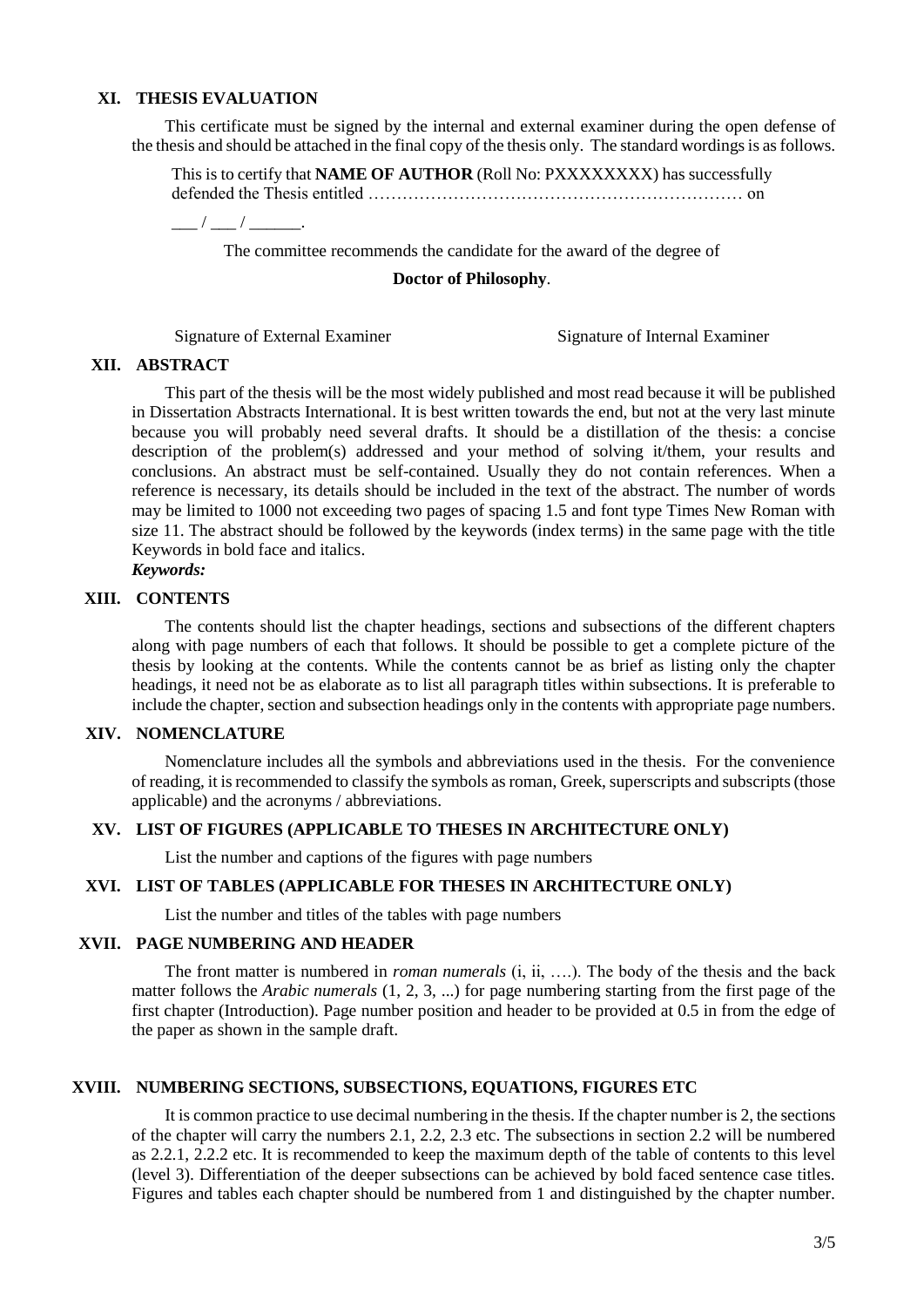#### **XI. THESIS EVALUATION**

This certificate must be signed by the internal and external examiner during the open defense of the thesis and should be attached in the final copy of the thesis only. The standard wordings is as follows.

This is to certify that **NAME OF AUTHOR** (Roll No: PXXXXXXXX) has successfully defended the Thesis entitled ………………………………………………………… on  $\frac{\frac{1}{2}$  /  $\frac{1}{2}$  /  $\frac{1}{2}$  .

The committee recommends the candidate for the award of the degree of

## **Doctor of Philosophy**.

Signature of External Examiner Signature of Internal Examiner

#### **XII. ABSTRACT**

This part of the thesis will be the most widely published and most read because it will be published in Dissertation Abstracts International. It is best written towards the end, but not at the very last minute because you will probably need several drafts. It should be a distillation of the thesis: a concise description of the problem(s) addressed and your method of solving it/them, your results and conclusions. An abstract must be self-contained. Usually they do not contain references. When a reference is necessary, its details should be included in the text of the abstract. The number of words may be limited to 1000 not exceeding two pages of spacing 1.5 and font type Times New Roman with size 11. The abstract should be followed by the keywords (index terms) in the same page with the title Keywords in bold face and italics. *Keywords:*

#### **XIII. CONTENTS**

The contents should list the chapter headings, sections and subsections of the different chapters along with page numbers of each that follows. It should be possible to get a complete picture of the thesis by looking at the contents. While the contents cannot be as brief as listing only the chapter headings, it need not be as elaborate as to list all paragraph titles within subsections. It is preferable to include the chapter, section and subsection headings only in the contents with appropriate page numbers.

#### **XIV. NOMENCLATURE**

Nomenclature includes all the symbols and abbreviations used in the thesis. For the convenience of reading, it is recommended to classify the symbols as roman, Greek, superscripts and subscripts (those applicable) and the acronyms / abbreviations.

#### **XV. LIST OF FIGURES (APPLICABLE TO THESES IN ARCHITECTURE ONLY)**

List the number and captions of the figures with page numbers

#### **XVI. LIST OF TABLES (APPLICABLE FOR THESES IN ARCHITECTURE ONLY)**

List the number and titles of the tables with page numbers

## **XVII. PAGE NUMBERING AND HEADER**

The front matter is numbered in *roman numerals* (i, ii, ….). The body of the thesis and the back matter follows the *Arabic numerals* (1, 2, 3, ...) for page numbering starting from the first page of the first chapter (Introduction). Page number position and header to be provided at 0.5 in from the edge of the paper as shown in the sample draft.

#### **XVIII. NUMBERING SECTIONS, SUBSECTIONS, EQUATIONS, FIGURES ETC**

It is common practice to use decimal numbering in the thesis. If the chapter number is 2, the sections of the chapter will carry the numbers 2.1, 2.2, 2.3 etc. The subsections in section 2.2 will be numbered as 2.2.1, 2.2.2 etc. It is recommended to keep the maximum depth of the table of contents to this level (level 3). Differentiation of the deeper subsections can be achieved by bold faced sentence case titles. Figures and tables each chapter should be numbered from 1 and distinguished by the chapter number.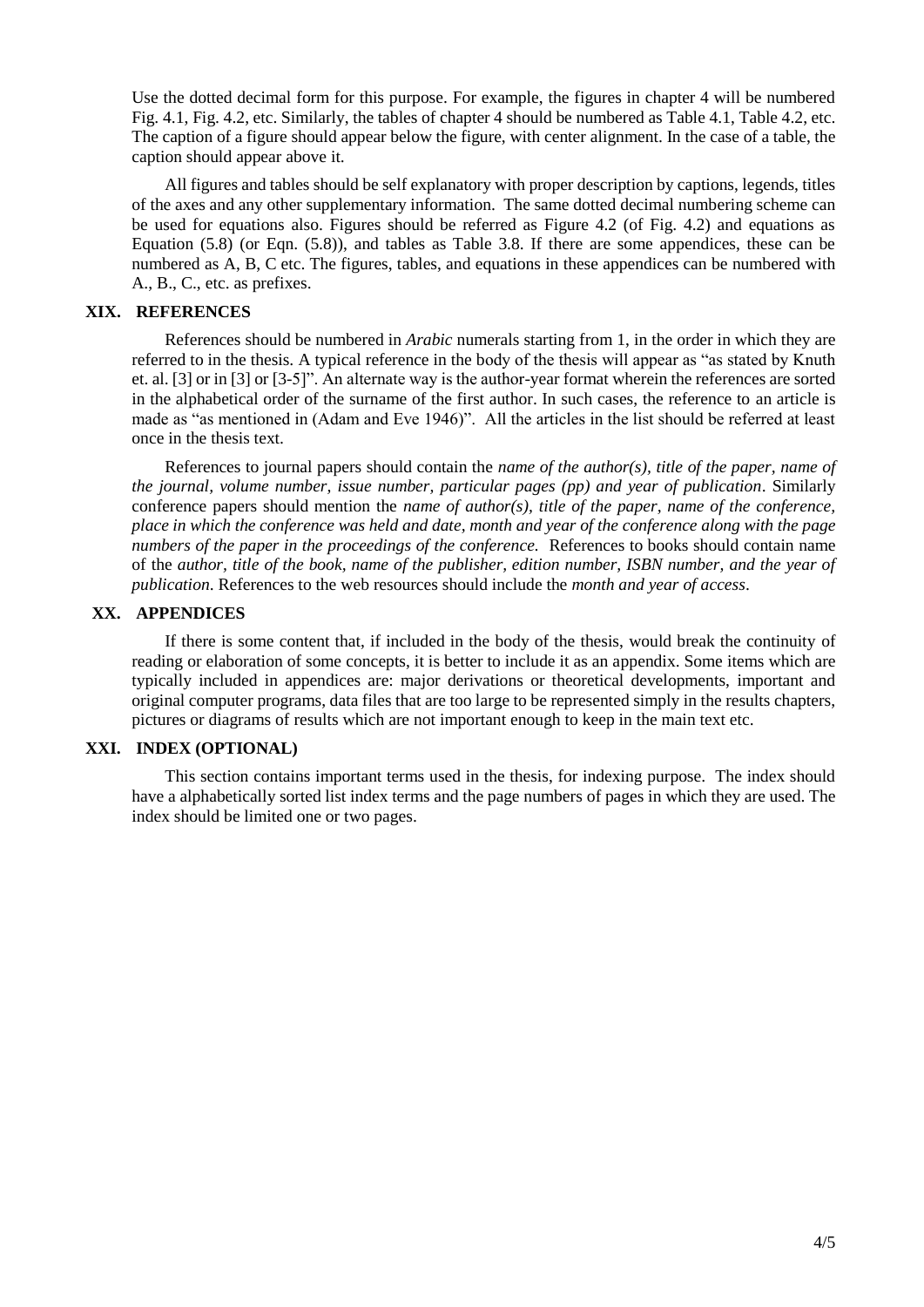Use the dotted decimal form for this purpose. For example, the figures in chapter 4 will be numbered Fig. 4.1, Fig. 4.2, etc. Similarly, the tables of chapter 4 should be numbered as Table 4.1, Table 4.2, etc. The caption of a figure should appear below the figure, with center alignment. In the case of a table, the caption should appear above it.

All figures and tables should be self explanatory with proper description by captions, legends, titles of the axes and any other supplementary information. The same dotted decimal numbering scheme can be used for equations also. Figures should be referred as Figure 4.2 (of Fig. 4.2) and equations as Equation (5.8) (or Eqn. (5.8)), and tables as Table 3.8. If there are some appendices, these can be numbered as A, B, C etc. The figures, tables, and equations in these appendices can be numbered with A., B., C., etc. as prefixes.

## **XIX. REFERENCES**

References should be numbered in *Arabic* numerals starting from 1, in the order in which they are referred to in the thesis. A typical reference in the body of the thesis will appear as "as stated by Knuth et. al. [3] or in [3] or [3-5]". An alternate way is the author-year format wherein the references are sorted in the alphabetical order of the surname of the first author. In such cases, the reference to an article is made as "as mentioned in (Adam and Eve 1946)". All the articles in the list should be referred at least once in the thesis text.

References to journal papers should contain the *name of the author(s), title of the paper, name of the journal, volume number, issue number, particular pages (pp) and year of publication*. Similarly conference papers should mention the *name of author(s), title of the paper, name of the conference, place in which the conference was held and date, month and year of the conference along with the page numbers of the paper in the proceedings of the conference.* References to books should contain name of the *author, title of the book, name of the publisher, edition number, ISBN number, and the year of publication*. References to the web resources should include the *month and year of access*.

# **XX. APPENDICES**

If there is some content that, if included in the body of the thesis, would break the continuity of reading or elaboration of some concepts, it is better to include it as an appendix. Some items which are typically included in appendices are: major derivations or theoretical developments, important and original computer programs, data files that are too large to be represented simply in the results chapters, pictures or diagrams of results which are not important enough to keep in the main text etc.

# **XXI. INDEX (OPTIONAL)**

This section contains important terms used in the thesis, for indexing purpose. The index should have a alphabetically sorted list index terms and the page numbers of pages in which they are used. The index should be limited one or two pages.